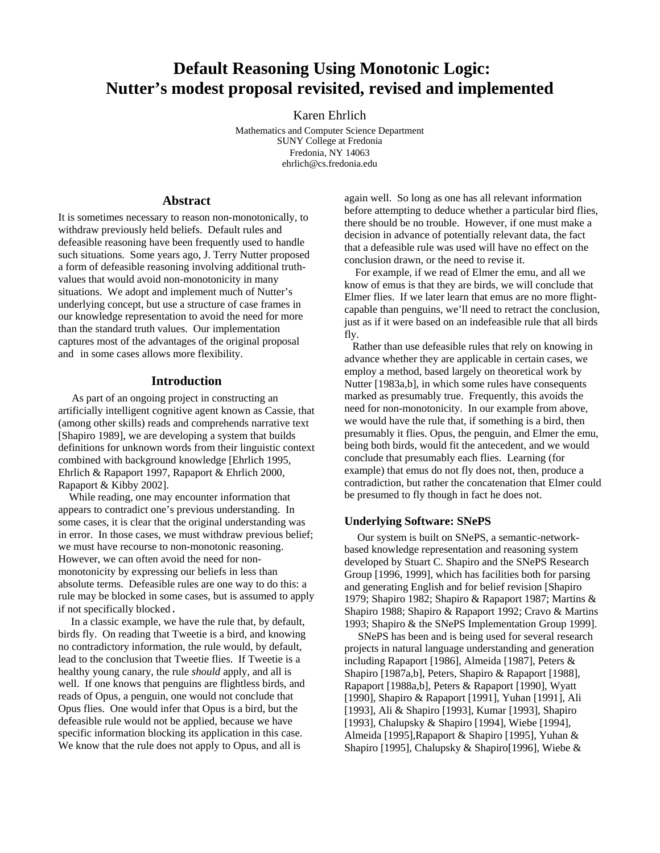# **Default Reasoning Using Monotonic Logic: Nutter's modest proposal revisited, revised and implemented**

Karen Ehrlich

Mathematics and Computer Science Department SUNY College at Fredonia Fredonia, NY 14063 ehrlich@cs.fredonia.edu

### **Abstract**

It is sometimes necessary to reason non-monotonically, to withdraw previously held beliefs. Default rules and defeasible reasoning have been frequently used to handle such situations. Some years ago, J. Terry Nutter proposed a form of defeasible reasoning involving additional truthvalues that would avoid non-monotonicity in many situations. We adopt and implement much of Nutter's underlying concept, but use a structure of case frames in our knowledge representation to avoid the need for more than the standard truth values. Our implementation captures most of the advantages of the original proposal and in some cases allows more flexibility.

## **Introduction**

 As part of an ongoing project in constructing an artificially intelligent cognitive agent known as Cassie, that (among other skills) reads and comprehends narrative text [Shapiro 1989], we are developing a system that builds definitions for unknown words from their linguistic context combined with background knowledge [Ehrlich 1995, Ehrlich & Rapaport 1997, Rapaport & Ehrlich 2000, Rapaport & Kibby 2002].

 While reading, one may encounter information that appears to contradict one's previous understanding. In some cases, it is clear that the original understanding was in error. In those cases, we must withdraw previous belief; we must have recourse to non-monotonic reasoning. However, we can often avoid the need for nonmonotonicity by expressing our beliefs in less than absolute terms. Defeasible rules are one way to do this: a rule may be blocked in some cases, but is assumed to apply if not specifically blocked.

 In a classic example, we have the rule that, by default, birds fly. On reading that Tweetie is a bird, and knowing no contradictory information, the rule would, by default, lead to the conclusion that Tweetie flies. If Tweetie is a healthy young canary, the rule *should* apply, and all is well. If one knows that penguins are flightless birds, and reads of Opus, a penguin, one would not conclude that Opus flies. One would infer that Opus is a bird, but the defeasible rule would not be applied, because we have specific information blocking its application in this case. We know that the rule does not apply to Opus, and all is

again well. So long as one has all relevant information before attempting to deduce whether a particular bird flies, there should be no trouble. However, if one must make a decision in advance of potentially relevant data, the fact that a defeasible rule was used will have no effect on the conclusion drawn, or the need to revise it.

 For example, if we read of Elmer the emu, and all we know of emus is that they are birds, we will conclude that Elmer flies. If we later learn that emus are no more flightcapable than penguins, we'll need to retract the conclusion, just as if it were based on an indefeasible rule that all birds fly.

 Rather than use defeasible rules that rely on knowing in advance whether they are applicable in certain cases, we employ a method, based largely on theoretical work by Nutter [1983a,b], in which some rules have consequents marked as presumably true. Frequently, this avoids the need for non-monotonicity. In our example from above, we would have the rule that, if something is a bird, then presumably it flies. Opus, the penguin, and Elmer the emu, being both birds, would fit the antecedent, and we would conclude that presumably each flies. Learning (for example) that emus do not fly does not, then, produce a contradiction, but rather the concatenation that Elmer could be presumed to fly though in fact he does not.

### **Underlying Software: SNePS**

 Our system is built on SNePS, a semantic-networkbased knowledge representation and reasoning system developed by Stuart C. Shapiro and the SNePS Research Group [1996, 1999], which has facilities both for parsing and generating English and for belief revision [Shapiro 1979; Shapiro 1982; Shapiro & Rapaport 1987; Martins & Shapiro 1988; Shapiro & Rapaport 1992; Cravo & Martins 1993; Shapiro & the SNePS Implementation Group 1999].

 SNePS has been and is being used for several research projects in natural language understanding and generation including Rapaport [1986], Almeida [1987], Peters & Shapiro [1987a,b], Peters, Shapiro & Rapaport [1988], Rapaport [1988a,b], Peters & Rapaport [1990], Wyatt [1990], Shapiro & Rapaport [1991], Yuhan [1991], Ali [1993], Ali & Shapiro [1993], Kumar [1993], Shapiro [1993], Chalupsky & Shapiro [1994], Wiebe [1994], Almeida [1995],Rapaport & Shapiro [1995], Yuhan & Shapiro [1995], Chalupsky & Shapiro[1996], Wiebe &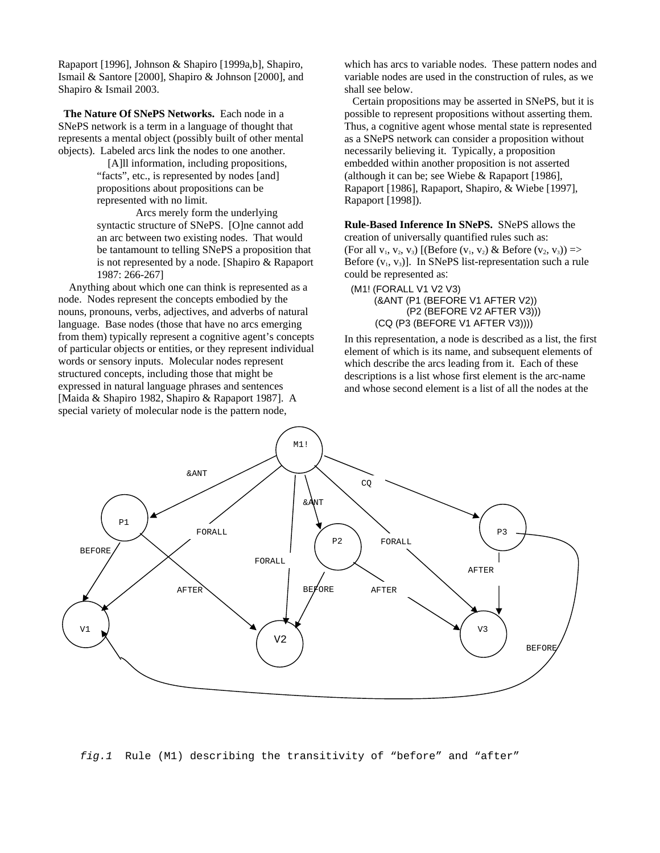Rapaport [1996], Johnson & Shapiro [1999a,b], Shapiro, Ismail & Santore [2000], Shapiro & Johnson [2000], and Shapiro & Ismail 2003.

**The Nature Of SNePS Networks.** Each node in a SNePS network is a term in a language of thought that represents a mental object (possibly built of other mental objects). Labeled arcs link the nodes to one another.

> [A]ll information, including propositions, "facts", etc., is represented by nodes [and] propositions about propositions can be represented with no limit.

Arcs merely form the underlying syntactic structure of SNePS. [O]ne cannot add an arc between two existing nodes. That would be tantamount to telling SNePS a proposition that is not represented by a node. [Shapiro & Rapaport 1987: 266-267]

 Anything about which one can think is represented as a node. Nodes represent the concepts embodied by the nouns, pronouns, verbs, adjectives, and adverbs of natural language. Base nodes (those that have no arcs emerging from them) typically represent a cognitive agent's concepts of particular objects or entities, or they represent individual words or sensory inputs. Molecular nodes represent structured concepts, including those that might be expressed in natural language phrases and sentences [Maida & Shapiro 1982, Shapiro & Rapaport 1987]. A special variety of molecular node is the pattern node,

which has arcs to variable nodes. These pattern nodes and variable nodes are used in the construction of rules, as we shall see below.

 Certain propositions may be asserted in SNePS, but it is possible to represent propositions without asserting them. Thus, a cognitive agent whose mental state is represented as a SNePS network can consider a proposition without necessarily believing it. Typically, a proposition embedded within another proposition is not asserted (although it can be; see Wiebe & Rapaport [1986], Rapaport [1986], Rapaport, Shapiro, & Wiebe [1997], Rapaport [1998]).

**Rule-Based Inference In SNePS.** SNePS allows the creation of universally quantified rules such as: (For all  $v_1, v_2, v_3$ ) [(Before  $(v_1, v_2)$  & Before  $(v_2, v_3)$ ) => Before  $(v_1, v_3)$ ]. In SNePS list-representation such a rule could be represented as:

(M1! (FORALL V1 V2 V3) (&ANT (P1 (BEFORE V1 AFTER V2)) (P2 (BEFORE V2 AFTER V3))) (CQ (P3 (BEFORE V1 AFTER V3))))

In this representation, a node is described as a list, the first element of which is its name, and subsequent elements of which describe the arcs leading from it. Each of these descriptions is a list whose first element is the arc-name and whose second element is a list of all the nodes at the



*fig.1* Rule (M1) describing the transitivity of "before" and "after"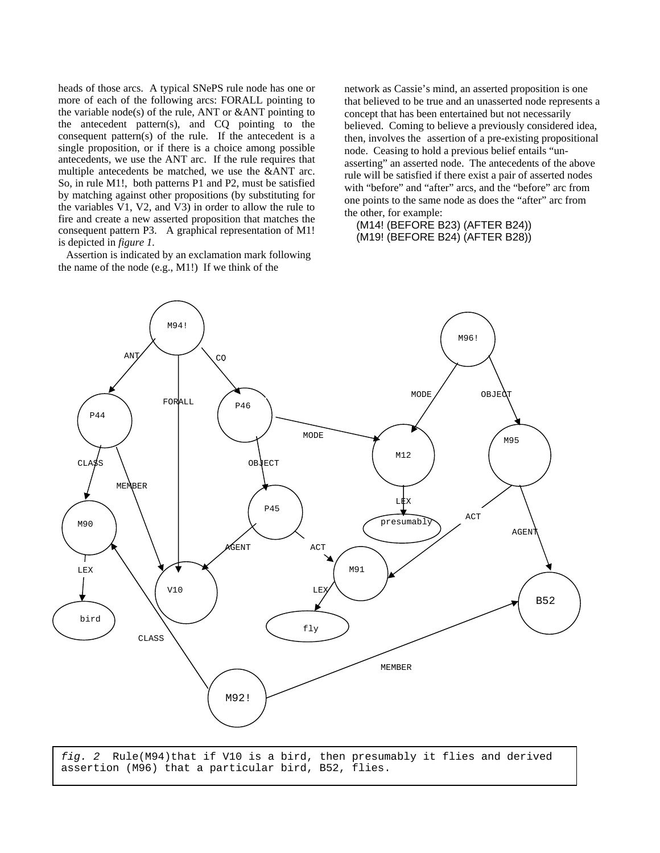heads of those arcs. A typical SNePS rule node has one or more of each of the following arcs: FORALL pointing to the variable node(s) of the rule, ANT or &ANT pointing to the antecedent pattern(s), and CQ pointing to the consequent pattern(s) of the rule. If the antecedent is a single proposition, or if there is a choice among possible antecedents, we use the ANT arc. If the rule requires that multiple antecedents be matched, we use the &ANT arc. So, in rule M1!, both patterns P1 and P2, must be satisfied by matching against other propositions (by substituting for the variables V1, V2, and V3) in order to allow the rule to fire and create a new asserted proposition that matches the consequent pattern P3. A graphical representation of M1! is depicted in *figure 1.*

 Assertion is indicated by an exclamation mark following the name of the node (e.g., M1!) If we think of the

network as Cassie's mind, an asserted proposition is one that believed to be true and an unasserted node represents a concept that has been entertained but not necessarily believed. Coming to believe a previously considered idea, then, involves the assertion of a pre-existing propositional node. Ceasing to hold a previous belief entails "unasserting" an asserted node. The antecedents of the above rule will be satisfied if there exist a pair of asserted nodes with "before" and "after" arcs, and the "before" arc from one points to the same node as does the "after" arc from the other, for example:

# (M14! (BEFORE B23) (AFTER B24)) (M19! (BEFORE B24) (AFTER B28))



*fig. 2* Rule(M94)that if V10 is a bird, then presumably it flies and derived assertion (M96) that a particular bird, B52, flies.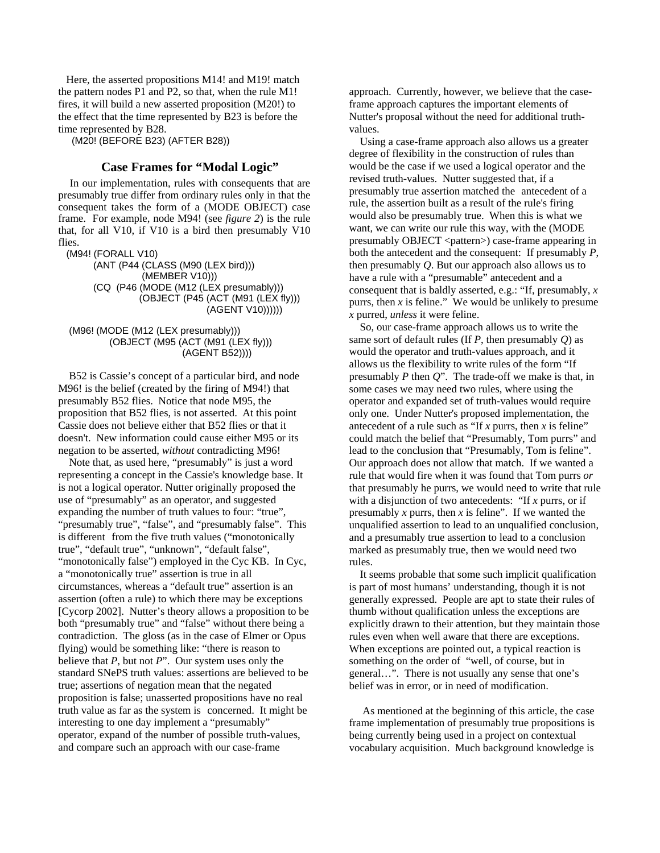Here, the asserted propositions M14! and M19! match the pattern nodes P1 and P2, so that, when the rule M1! fires, it will build a new asserted proposition (M20!) to the effect that the time represented by B23 is before the time represented by B28.

(M20! (BEFORE B23) (AFTER B28))

# **Case Frames for "Modal Logic"**

In our implementation, rules with consequents that are presumably true differ from ordinary rules only in that the consequent takes the form of a (MODE OBJECT) case frame. For example, node M94! (see *figure 2*) is the rule that, for all V10, if V10 is a bird then presumably V10 flies.

(M94! (FORALL V10)

 (ANT (P44 (CLASS (M90 (LEX bird))) (MEMBER V10))) (CQ (P46 (MODE (M12 (LEX presumably))) (OBJECT (P45 (ACT (M91 (LEX fly))) (AGENT V10))))))

 (M96! (MODE (M12 (LEX presumably))) (OBJECT (M95 (ACT (M91 (LEX fly))) (AGENT B52))))

 B52 is Cassie's concept of a particular bird, and node M96! is the belief (created by the firing of M94!) that presumably B52 flies. Notice that node M95, the proposition that B52 flies, is not asserted. At this point Cassie does not believe either that B52 flies or that it doesn't. New information could cause either M95 or its negation to be asserted, *without* contradicting M96!

 Note that, as used here, "presumably" is just a word representing a concept in the Cassie's knowledge base. It is not a logical operator. Nutter originally proposed the use of "presumably" as an operator, and suggested expanding the number of truth values to four: "true", "presumably true", "false", and "presumably false". This is different from the five truth values ("monotonically true", "default true", "unknown", "default false", "monotonically false") employed in the Cyc KB. In Cyc, a "monotonically true" assertion is true in all circumstances, whereas a "default true" assertion is an assertion (often a rule) to which there may be exceptions [Cycorp 2002]. Nutter's theory allows a proposition to be both "presumably true" and "false" without there being a contradiction. The gloss (as in the case of Elmer or Opus flying) would be something like: "there is reason to believe that *P*, but not *P*". Our system uses only the standard SNePS truth values: assertions are believed to be true; assertions of negation mean that the negated proposition is false; unasserted propositions have no real truth value as far as the system is concerned. It might be interesting to one day implement a "presumably" operator, expand of the number of possible truth-values, and compare such an approach with our case-frame

approach. Currently, however, we believe that the caseframe approach captures the important elements of Nutter's proposal without the need for additional truthvalues.

 Using a case-frame approach also allows us a greater degree of flexibility in the construction of rules than would be the case if we used a logical operator and the revised truth-values. Nutter suggested that, if a presumably true assertion matched the antecedent of a rule, the assertion built as a result of the rule's firing would also be presumably true. When this is what we want, we can write our rule this way, with the (MODE presumably OBJECT <pattern> $\geq$  case-frame appearing in both the antecedent and the consequent: If presumably *P*, then presumably *Q*. But our approach also allows us to have a rule with a "presumable" antecedent and a consequent that is baldly asserted, e.g.: "If, presumably, *x* purrs, then *x* is feline." We would be unlikely to presume *x* purred, *unless* it were feline.

 So, our case-frame approach allows us to write the same sort of default rules (If *P*, then presumably *Q*) as would the operator and truth-values approach, and it allows us the flexibility to write rules of the form "If presumably *P* then *Q*". The trade-off we make is that, in some cases we may need two rules, where using the operator and expanded set of truth-values would require only one. Under Nutter's proposed implementation, the antecedent of a rule such as "If *x* purrs, then *x* is feline" could match the belief that "Presumably, Tom purrs" and lead to the conclusion that "Presumably, Tom is feline". Our approach does not allow that match. If we wanted a rule that would fire when it was found that Tom purrs *or* that presumably he purrs, we would need to write that rule with a disjunction of two antecedents: "If *x* purrs, or if presumably *x* purrs, then *x* is feline". If we wanted the unqualified assertion to lead to an unqualified conclusion, and a presumably true assertion to lead to a conclusion marked as presumably true, then we would need two rules.

 It seems probable that some such implicit qualification is part of most humans' understanding, though it is not generally expressed. People are apt to state their rules of thumb without qualification unless the exceptions are explicitly drawn to their attention, but they maintain those rules even when well aware that there are exceptions. When exceptions are pointed out, a typical reaction is something on the order of "well, of course, but in general…". There is not usually any sense that one's belief was in error, or in need of modification.

 As mentioned at the beginning of this article, the case frame implementation of presumably true propositions is being currently being used in a project on contextual vocabulary acquisition. Much background knowledge is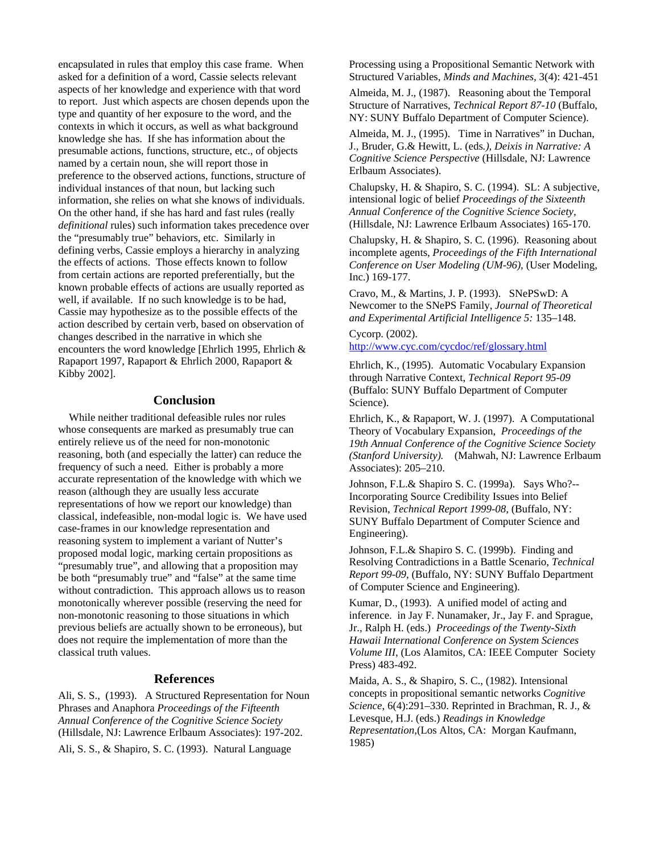encapsulated in rules that employ this case frame. When asked for a definition of a word, Cassie selects relevant aspects of her knowledge and experience with that word to report. Just which aspects are chosen depends upon the type and quantity of her exposure to the word, and the contexts in which it occurs, as well as what background knowledge she has. If she has information about the presumable actions, functions, structure, etc., of objects named by a certain noun, she will report those in preference to the observed actions, functions, structure of individual instances of that noun, but lacking such information, she relies on what she knows of individuals. On the other hand, if she has hard and fast rules (really *definitional* rules) such information takes precedence over the "presumably true" behaviors, etc. Similarly in defining verbs, Cassie employs a hierarchy in analyzing the effects of actions. Those effects known to follow from certain actions are reported preferentially, but the known probable effects of actions are usually reported as well, if available. If no such knowledge is to be had, Cassie may hypothesize as to the possible effects of the action described by certain verb, based on observation of changes described in the narrative in which she encounters the word knowledge [Ehrlich 1995, Ehrlich & Rapaport 1997, Rapaport & Ehrlich 2000, Rapaport & Kibby 2002].

# **Conclusion**

 While neither traditional defeasible rules nor rules whose consequents are marked as presumably true can entirely relieve us of the need for non-monotonic reasoning, both (and especially the latter) can reduce the frequency of such a need. Either is probably a more accurate representation of the knowledge with which we reason (although they are usually less accurate representations of how we report our knowledge) than classical, indefeasible, non-modal logic is. We have used case-frames in our knowledge representation and reasoning system to implement a variant of Nutter's proposed modal logic, marking certain propositions as "presumably true", and allowing that a proposition may be both "presumably true" and "false" at the same time without contradiction. This approach allows us to reason monotonically wherever possible (reserving the need for non-monotonic reasoning to those situations in which previous beliefs are actually shown to be erroneous), but does not require the implementation of more than the classical truth values.

#### **References**

Ali, S. S., (1993). A Structured Representation for Noun Phrases and Anaphora *Proceedings of the Fifteenth Annual Conference of the Cognitive Science Society* (Hillsdale, NJ: Lawrence Erlbaum Associates): 197-202. Ali, S. S., & Shapiro, S. C. (1993). Natural Language

Processing using a Propositional Semantic Network with Structured Variables, *Minds and Machines,* 3(4): 421-451

Almeida, M. J., (1987). Reasoning about the Temporal Structure of Narratives, *Technical Report 87-10* (Buffalo, NY: SUNY Buffalo Department of Computer Science).

Almeida, M. J., (1995). Time in Narratives" in Duchan, J., Bruder, G.& Hewitt, L. (eds*.), Deixis in Narrative: A Cognitive Science Perspective* (Hillsdale, NJ: Lawrence Erlbaum Associates).

Chalupsky, H. & Shapiro, S. C. (1994). SL: A subjective, intensional logic of belief *Proceedings of the Sixteenth Annual Conference of the Cognitive Science Society,* (Hillsdale, NJ: Lawrence Erlbaum Associates) 165-170.

Chalupsky, H. & Shapiro, S. C. (1996). Reasoning about incomplete agents, *Proceedings of the Fifth International Conference on User Modeling (UM-96),* (User Modeling, Inc.) 169-177.

Cravo, M., & Martins, J. P. (1993). SNePSwD: A Newcomer to the SNePS Family, *Journal of Theoretical and Experimental Artificial Intelligence 5:* 135–148.

Cycorp. (2002). <http://www.cyc.com/cycdoc/ref/glossary.html>

Ehrlich, K., (1995). Automatic Vocabulary Expansion through Narrative Context, *Technical Report 95-09* (Buffalo: SUNY Buffalo Department of Computer Science).

Ehrlich, K., & Rapaport, W. J. (1997). A Computational Theory of Vocabulary Expansion, *Proceedings of the 19th Annual Conference of the Cognitive Science Society (Stanford University).* (Mahwah, NJ: Lawrence Erlbaum Associates): 205–210.

Johnson, F.L.& Shapiro S. C. (1999a). Says Who?-- Incorporating Source Credibility Issues into Belief Revision, *Technical Report 1999-08*, (Buffalo, NY: SUNY Buffalo Department of Computer Science and Engineering).

Johnson, F.L.& Shapiro S. C. (1999b). Finding and Resolving Contradictions in a Battle Scenario, *Technical Report 99-09*, (Buffalo, NY: SUNY Buffalo Department of Computer Science and Engineering).

Kumar, D., (1993). A unified model of acting and inference. in Jay F. Nunamaker, Jr., Jay F. and Sprague, Jr., Ralph H. (eds.) *Proceedings of the Twenty-Sixth Hawaii International Conference on System Sciences Volume III*, (Los Alamitos, CA: IEEE Computer Society Press) 483-492.

Maida, A. S., & Shapiro, S. C., (1982). Intensional concepts in propositional semantic networks *Cognitive Science*, 6(4):291–330. Reprinted in Brachman, R. J., & Levesque, H.J. (eds.) *Readings in Knowledge Representation*,(Los Altos, CA: Morgan Kaufmann, 1985)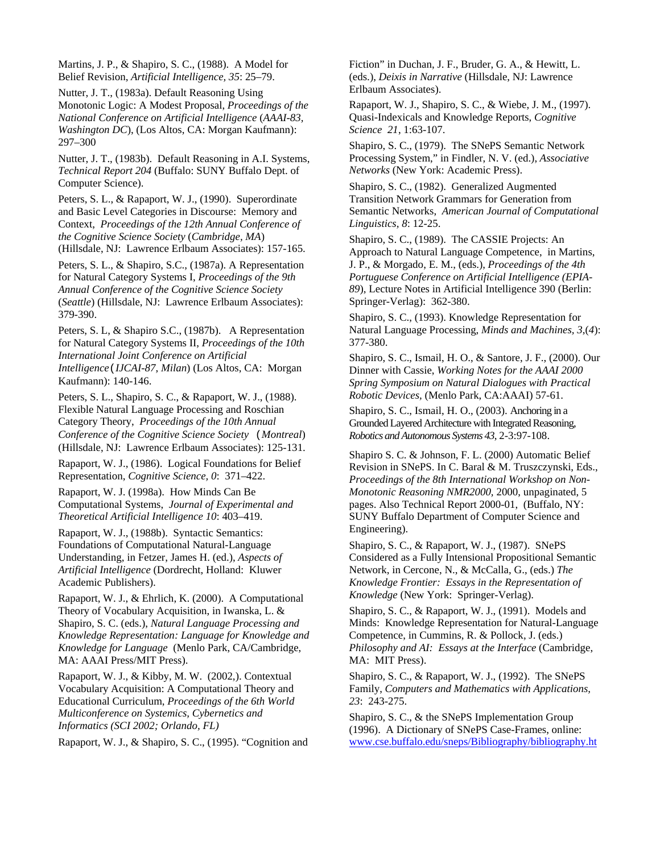Martins, J. P., & Shapiro, S. C., (1988). A Model for Belief Revision, *Artificial Intelligence, 35*: 25–79.

Nutter, J. T., (1983a). Default Reasoning Using Monotonic Logic: A Modest Proposal, *Proceedings of the National Conference on Artificial Intelligence* (*AAAI-83, Washington DC*), (Los Altos, CA: Morgan Kaufmann): 297–300

Nutter, J. T., (1983b). Default Reasoning in A.I. Systems, *Technical Report 204* (Buffalo: SUNY Buffalo Dept. of Computer Science).

Peters, S. L., & Rapaport, W. J., (1990). Superordinate and Basic Level Categories in Discourse: Memory and Context, *Proceedings of the 12th Annual Conference of the Cognitive Science Society* (*Cambridge, MA*) (Hillsdale, NJ: Lawrence Erlbaum Associates): 157-165.

Peters, S. L., & Shapiro, S.C., (1987a). A Representation for Natural Category Systems I, *Proceedings of the 9th Annual Conference of the Cognitive Science Society* (*Seattle*) (Hillsdale, NJ: Lawrence Erlbaum Associates): 379-390.

Peters, S. L, & Shapiro S.C., (1987b). A Representation for Natural Category Systems II, *Proceedings of the 10th International Joint Conference on Artificial Intelligence*(*IJCAI-87*, *Milan*) (Los Altos, CA: Morgan Kaufmann): 140-146.

Peters, S. L., Shapiro, S. C., & Rapaport, W. J., (1988). Flexible Natural Language Processing and Roschian Category Theory, *Proceedings of the 10th Annual Conference of the Cognitive Science Society* (*Montreal*) (Hillsdale, NJ: Lawrence Erlbaum Associates): 125-131.

Rapaport, W. J., (1986). Logical Foundations for Belief Representation, *Cognitive Science, 0*: 371–422.

Rapaport, W. J. (1998a). How Minds Can Be Computational Systems, *Journal of Experimental and Theoretical Artificial Intelligence 10*: 403–419.

Rapaport, W. J., (1988b). Syntactic Semantics: Foundations of Computational Natural-Language Understanding, in Fetzer, James H. (ed.), *Aspects of Artificial Intelligence* (Dordrecht, Holland: Kluwer Academic Publishers).

Rapaport, W. J., & Ehrlich, K. (2000). A Computational Theory of Vocabulary Acquisition, in Iwanska, L. & Shapiro, S. C. (eds.), *Natural Language Processing and Knowledge Representation: Language for Knowledge and Knowledge for Language* (Menlo Park, CA/Cambridge, MA: AAAI Press/MIT Press).

Rapaport, W. J., & Kibby, M. W. (2002,). Contextual Vocabulary Acquisition: A Computational Theory and Educational Curriculum, *Proceedings of the 6th World Multiconference on Systemics, Cybernetics and Informatics (SCI 2002; Orlando, FL)* 

Rapaport, W. J., & Shapiro, S. C., (1995). "Cognition and

Fiction" in Duchan, J. F., Bruder, G. A., & Hewitt, L. (eds.), *Deixis in Narrative* (Hillsdale, NJ: Lawrence Erlbaum Associates).

Rapaport, W. J., Shapiro, S. C., & Wiebe, J. M., (1997). Quasi-Indexicals and Knowledge Reports, *Cognitive Science 21*, 1:63-107.

Shapiro, S. C., (1979). The SNePS Semantic Network Processing System," in Findler, N. V. (ed.), *Associative Networks* (New York: Academic Press).

Shapiro, S. C., (1982). Generalized Augmented Transition Network Grammars for Generation from Semantic Networks, *American Journal of Computational Linguistics, 8*: 12-25.

Shapiro, S. C., (1989). The CASSIE Projects: An Approach to Natural Language Competence, in Martins, J. P., & Morgado, E. M., (eds.), *Proceedings of the 4th Portuguese Conference on Artificial Intelligence (EPIA-89*), Lecture Notes in Artificial Intelligence 390 (Berlin: Springer-Verlag): 362-380.

Shapiro, S. C., (1993). Knowledge Representation for Natural Language Processing, *Minds and Machines, 3*,(*4*): 377-380.

Shapiro, S. C., Ismail, H. O., & Santore, J. F., (2000). Our Dinner with Cassie, *Working Notes for the AAAI 2000 Spring Symposium on Natural Dialogues with Practical Robotic Devices,* (Menlo Park, CA:AAAI) 57-61.

Shapiro, S. C., Ismail, H. O., (2003). [Anchoring in a](http://www.cse.buffalo.edu/%7Eshapiro/Papers/shaism03.pdf)  [Grounded Layered Architecture with Integrated Reasoning](http://www.cse.buffalo.edu/%7Eshapiro/Papers/shaism03.pdf), *[Robotics and Autonomous Systems 43](http://www.aass.oru.se/Agora/RAS02/)*, 2-3:97-108.

Shapiro S. C. & Johnson, F. L. (2000) Automatic Belief Revision in SNePS. In C. Baral & M. Truszczynski, Eds., *Proceedings of the 8th International Workshop on Non-Monotonic Reasoning NMR2000,* 2000, unpaginated, 5 pages. Also Technical Report 2000-01, (Buffalo, NY: SUNY Buffalo Department of Computer Science and Engineering).

Shapiro, S. C., & Rapaport, W. J., (1987). SNePS Considered as a Fully Intensional Propositional Semantic Network, in Cercone, N., & McCalla, G., (eds.) *The Knowledge Frontier: Essays in the Representation of Knowledge* (New York: Springer-Verlag).

Shapiro, S. C., & Rapaport, W. J., (1991). Models and Minds: Knowledge Representation for Natural-Language Competence, in Cummins, R. & Pollock, J. (eds.) *Philosophy and AI: Essays at the Interface* (Cambridge, MA: MIT Press).

Shapiro, S. C., & Rapaport, W. J., (1992). The SNePS Family, *Computers and Mathematics with Applications, 23*: 243-275.

Shapiro, S. C., & the SNePS Implementation Group (1996). A Dictionary of SNePS Case-Frames, online: www.cse.buffalo.edu/sneps/Bibliography/bibliography.ht